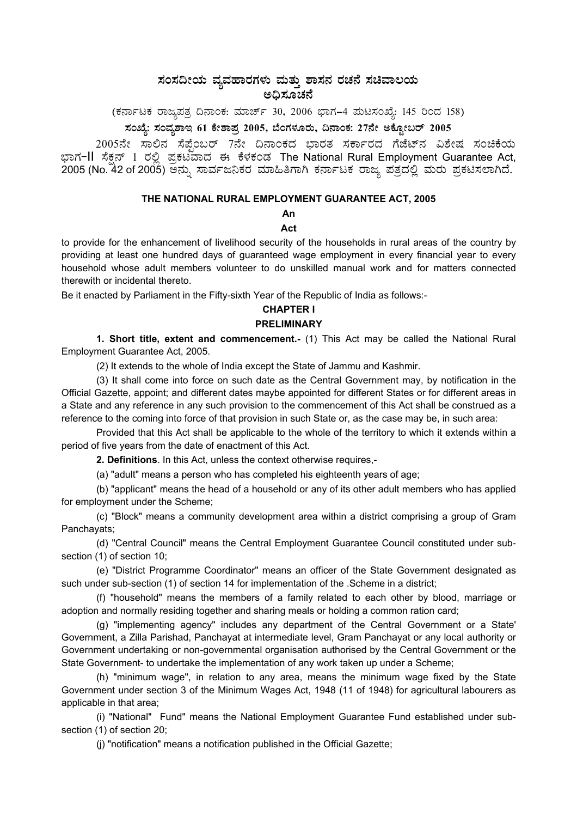# ಸಂಸದೀಯ ವ್ಯವಹಾರಗಳು ಮತ್ತು ಶಾಸನ ರಚನೆ ಸಚಿವಾಲಯ ಅಧಿಸೂಚನೆ

(ಕರ್ನಾಟಕ ರಾಜ್ಯಪತ್ರ ದಿನಾಂಕ: ಮಾರ್ಚ್ 30, 2006 ಭಾಗ–4 ಮಟಸಂಖ್ಯೆ: 145 ರಿಂದ 158)

# ಸಂಖ್ಯೆ: ಸಂವೃಶಾಇ 61 ಕೇಶಾಪ್ರ 2005, ಬೆಂಗಳೂರು, ದಿನಾಂಕ: 27ನೇ ಅಕ್ಸೋಬರ್ 2005

2005ನೇ ಸಾಲಿನ ಸೆಪೆಂಬರ್ 7ನೇ ದಿನಾಂಕದ ಬಾರತ ಸರ್ಕಾರದ ಗೆಜೆಟ್**ನ ವಿಶೇಷ ಸಂಚಿಕೆ**ಯ ಭಾಗ−II ಸೆಕ್ಷನ್ 1 ರಲ್ಲಿ ಪ್ರಕಟವಾದ ಈ ಕೆಳಕಂಡ The National Rural Employment Guarantee Act, 2005 (No. 42 of 2005) ಅನ್ನು ಸಾರ್ವಜನಿಕರ ಮಾಹಿತಿಗಾಗಿ ಕರ್ನಾಟಕ ರಾಜ್ಯ ಪತ್ರದಲ್ಲಿ ಮರು ಪ್ರಕಟಿಸಲಾಗಿದೆ.

## **THE NATIONAL RURAL EMPLOYMENT GUARANTEE ACT, 2005**

**An** 

# **Act**

to provide for the enhancement of livelihood security of the households in rural areas of the country by providing at least one hundred days of guaranteed wage employment in every financial year to every household whose adult members volunteer to do unskilled manual work and for matters connected therewith or incidental thereto.

Be it enacted by Parliament in the Fifty-sixth Year of the Republic of India as follows:-

# **CHAPTER I**

# **PRELIMINARY**

**1. Short title, extent and commencement.**- (1) This Act may be called the National Rural Employment Guarantee Act, 2005.

(2) It extends to the whole of India except the State of Jammu and Kashmir.

(3) It shall come into force on such date as the Central Government may, by notification in the Official Gazette, appoint; and different dates maybe appointed for different States or for different areas in a State and any reference in any such provision to the commencement of this Act shall be construed as a reference to the coming into force of that provision in such State or, as the case may be, in such area:

Provided that this Act shall be applicable to the whole of the territory to which it extends within a period of five years from the date of enactment of this Act.

 **2. Definitions**. In this Act, unless the context otherwise requires,-

(a) "adult" means a person who has completed his eighteenth years of age;

(b) "applicant" means the head of a household or any of its other adult members who has applied for employment under the Scheme;

(c) "Block" means a community development area within a district comprising a group of Gram Panchayats;

(d) "Central Council" means the Central Employment Guarantee Council constituted under subsection (1) of section 10;

(e) "District Programme Coordinator" means an officer of the State Government designated as such under sub-section (1) of section 14 for implementation of the .Scheme in a district;

(f) "household" means the members of a family related to each other by blood, marriage or adoption and normally residing together and sharing meals or holding a common ration card;

(g) "implementing agency" includes any department of the Central Government or a State' Government, a Zilla Parishad, Panchayat at intermediate level, Gram Panchayat or any local authority or Government undertaking or non-governmental organisation authorised by the Central Government or the State Government- to undertake the implementation of any work taken up under a Scheme;

(h) "minimum wage", in relation to any area, means the minimum wage fixed by the State Government under section 3 of the Minimum Wages Act, 1948 (11 of 1948) for agricultural labourers as applicable in that area;

(i) "National" Fund" means the National Employment Guarantee Fund established under subsection (1) of section 20;

(j) "notification" means a notification published in the Official Gazette;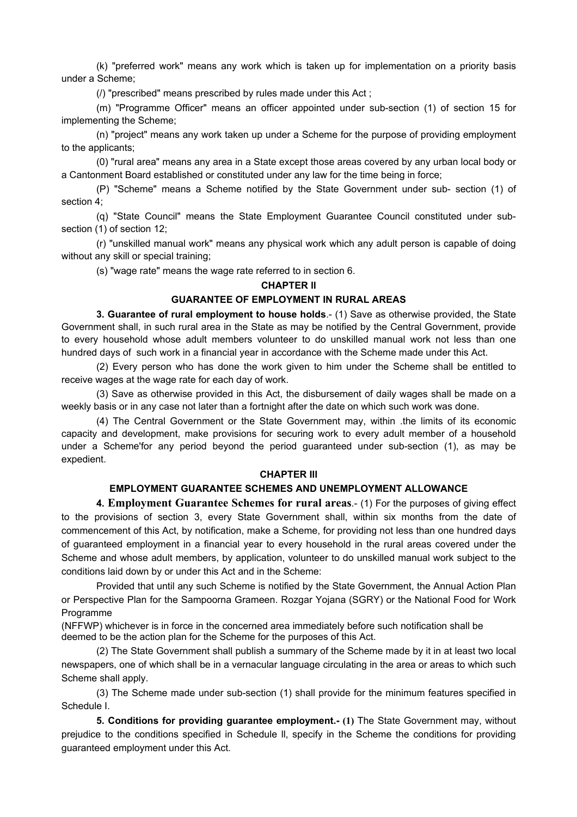(k) "preferred work" means any work which is taken up for implementation on a priority basis under a Scheme;

(/) "prescribed" means prescribed by rules made under this Act ;

(m) "Programme Officer" means an officer appointed under sub-section (1) of section 15 for implementing the Scheme;

(n) "project" means any work taken up under a Scheme for the purpose of providing employment to the applicants;

(0) "rural area" means any area in a State except those areas covered by any urban local body or a Cantonment Board established or constituted under any law for the time being in force;

(P) "Scheme" means a Scheme notified by the State Government under sub- section (1) of section 4;

(q) "State Council" means the State Employment Guarantee Council constituted under subsection (1) of section 12;

(r) "unskilled manual work" means any physical work which any adult person is capable of doing without any skill or special training;

(s) "wage rate" means the wage rate referred to in section 6.

## **CHAPTER ll**

## **GUARANTEE OF EMPLOYMENT IN RURAL AREAS**

**3. Guarantee of rural employment to house holds.**- (1) Save as otherwise provided, the State Government shall, in such rural area in the State as may be notified by the Central Government, provide to every household whose adult members volunteer to do unskilled manual work not less than one hundred days of such work in a financial year in accordance with the Scheme made under this Act.

(2) Every person who has done the work given to him under the Scheme shall be entitled to receive wages at the wage rate for each day of work.

(3) Save as otherwise provided in this Act, the disbursement of daily wages shall be made on a weekly basis or in any case not later than a fortnight after the date on which such work was done.

(4) The Central Government or the State Government may, within .the limits of its economic capacity and development, make provisions for securing work to every adult member of a household under a Scheme'for any period beyond the period guaranteed under sub-section (1), as may be expedient.

## **CHAPTER Ill**

# **EMPLOYMENT GUARANTEE SCHEMES AND UNEMPLOYMENT ALLOWANCE**

**4. Employment Guarantee Schemes for rural areas**.- (1) For the purposes of giving effect to the provisions of section 3, every State Government shall, within six months from the date of commencement of this Act, by notification, make a Scheme, for providing not less than one hundred days of guaranteed employment in a financial year to every household in the rural areas covered under the Scheme and whose adult members, by application, volunteer to do unskilled manual work subject to the conditions laid down by or under this Act and in the Scheme:

Provided that until any such Scheme is notified by the State Government, the Annual Action Plan or Perspective Plan for the Sampoorna Grameen. Rozgar Yojana (SGRY) or the National Food for Work Programme

(NFFWP) whichever is in force in the concerned area immediately before such notification shall be deemed to be the action plan for the Scheme for the purposes of this Act.

(2) The State Government shall publish a summary of the Scheme made by it in at least two local newspapers, one of which shall be in a vernacular language circulating in the area or areas to which such Scheme shall apply.

(3) The Scheme made under sub-section (1) shall provide for the minimum features specified in Schedule I.

**5. Conditions for providing guarantee employment.- (1)** The State Government may, without prejudice to the conditions specified in Schedule ll, specify in the Scheme the conditions for providing guaranteed employment under this Act.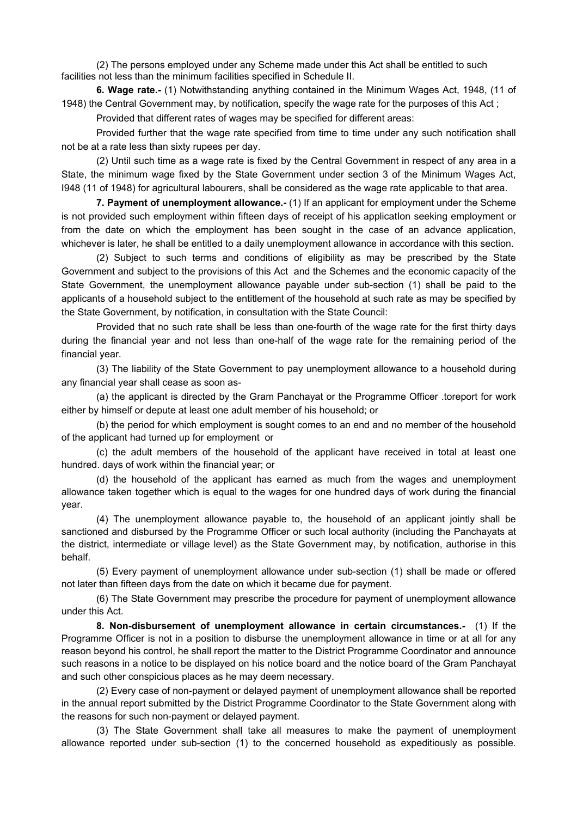(2) The persons employed under any Scheme made under this Act shall be entitled to such facilities not less than the minimum facilities specified in Schedule II.

**6. Wage rate.-** (1) Notwithstanding anything contained in the Minimum Wages Act, 1948, (11 of 1948) the Central Government may, by notification, specify the wage rate for the purposes of this Act ;

Provided that different rates of wages may be specified for different areas:

Provided further that the wage rate specified from time to time under any such notification shall not be at a rate less than sixty rupees per day.

(2) Until such time as a wage rate is fixed by the Central Government in respect of any area in a State, the minimum wage fixed by the State Government under section 3 of the Minimum Wages Act, I948 (11 of 1948) for agricultural labourers, shall be considered as the wage rate applicable to that area.

**7. Payment of unemployment allowance.-** (1) If an applicant for employment under the Scheme is not provided such employment within fifteen days of receipt of his applicatIon seeking employment or from the date on which the employment has been sought in the case of an advance application, whichever is later, he shall be entitled to a daily unemployment allowance in accordance with this section.

(2) Subject to such terms and conditions of eligibility as may be prescribed by the State Government and subject to the provisions of this Act and the Schemes and the economic capacity of the State Government, the unemployment allowance payable under sub-section (1) shall be paid to the applicants of a household subject to the entitlement of the household at such rate as may be specified by the State Government, by notification, in consultation with the State Council:

Provided that no such rate shall be less than one-fourth of the wage rate for the first thirty days during the financial year and not less than one-half of the wage rate for the remaining period of the financial year.

(3) The liability of the State Government to pay unemployment allowance to a household during any financial year shall cease as soon as-

(a) the applicant is directed by the Gram Panchayat or the Programme Officer .toreport for work either by himself or depute at least one adult member of his household; or

(b) the period for which employment is sought comes to an end and no member of the household of the applicant had turned up for employment or

(c) the adult members of the household of the applicant have received in total at least one hundred. days of work within the financial year; or

(d) the household of the applicant has earned as much from the wages and unemployment allowance taken together which is equal to the wages for one hundred days of work during the financial year.

(4) The unemployment allowance payable to, the household of an applicant jointly shall be sanctioned and disbursed by the Programme Officer or such local authority (including the Panchayats at the district, intermediate or village level) as the State Government may, by notification, authorise in this behalf.

(5) Every payment of unemployment allowance under sub-section (1) shall be made or offered not later than fifteen days from the date on which it became due for payment.

(6) The State Government may prescribe the procedure for payment of unemployment allowance under this Act.

**8. Non-disbursement of unemployment allowance in certain circumstances.-** (1) If the Programme Officer is not in a position to disburse the unemployment allowance in time or at all for any reason beyond his control, he shall report the matter to the District Programme Coordinator and announce such reasons in a notice to be displayed on his notice board and the notice board of the Gram Panchayat and such other conspicious places as he may deem necessary.

(2) Every case of non-payment or delayed payment of unemployment allowance shall be reported in the annual report submitted by the District Programme Coordinator to the State Government along with the reasons for such non-payment or delayed payment.

(3) The State Government shall take all measures to make the payment of unemployment allowance reported under sub-section (1) to the concerned household as expeditiously as possible.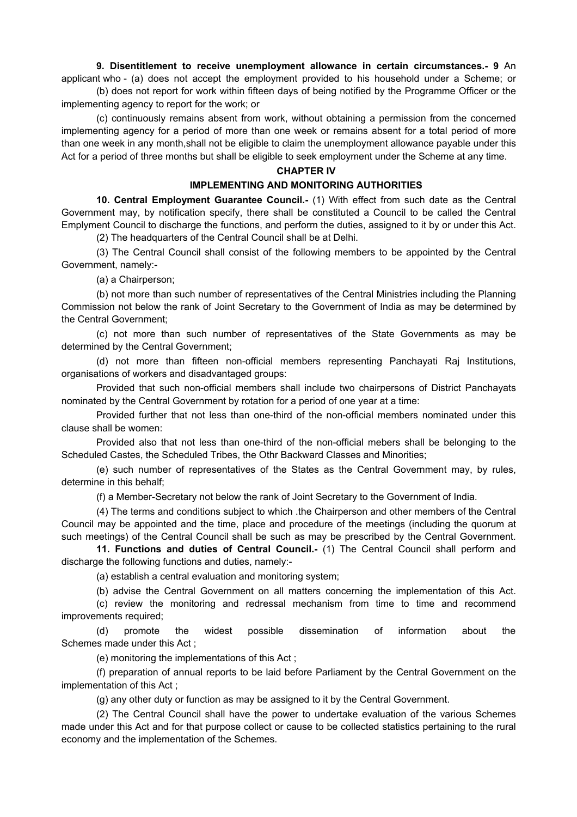# **9. Disentitlement to receive unemployment allowance in certain circumstances.- 9** An

applicant who - (a) does not accept the employment provided to his household under a Scheme; or (b) does not report for work within fifteen days of being notified by the Programme Officer or the implementing agency to report for the work; or

(c) continuously remains absent from work, without obtaining a permission from the concerned implementing agency for a period of more than one week or remains absent for a total period of more than one week in any month,shall not be eligible to claim the unemployment allowance payable under this Act for a period of three months but shall be eligible to seek employment under the Scheme at any time.

#### **CHAPTER IV**

#### **IMPLEMENTING AND MONITORING AUTHORITIES**

**10. Central Employment Guarantee Council.-** (1) With effect from such date as the Central Government may, by notification specify, there shall be constituted a Council to be called the Central Emplyment Council to discharge the functions, and perform the duties, assigned to it by or under this Act.

(2) The headquarters of the Central Council shall be at Delhi.

(3) The Central Council shall consist of the following members to be appointed by the Central Government, namely:-

(a) a Chairperson;

(b) not more than such number of representatives of the Central Ministries including the Planning Commission not below the rank of Joint Secretary to the Government of India as may be determined by the Central Government;

(c) not more than such number of representatives of the State Governments as may be determined by the Central Government;

(d) not more than fifteen non-official members representing Panchayati Raj Institutions, organisations of workers and disadvantaged groups:

Provided that such non-official members shall include two chairpersons of District Panchayats nominated by the Central Government by rotation for a period of one year at a time:

Provided further that not less than one-third of the non-official members nominated under this clause shall be women:

Provided also that not less than one-third of the non-official mebers shall be belonging to the Scheduled Castes, the Scheduled Tribes, the Othr Backward Classes and Minorities;

(e) such number of representatives of the States as the Central Government may, by rules, determine in this behalf;

(f) a Member-Secretary not below the rank of Joint Secretary to the Government of India.

(4) The terms and conditions subject to which .the Chairperson and other members of the Central Council may be appointed and the time, place and procedure of the meetings (including the quorum at such meetings) of the Central Council shall be such as may be prescribed by the Central Government.

**11. Functions and duties of Central Council.-** (1) The Central Council shall perform and discharge the following functions and duties, namely:-

(a) establish a central evaluation and monitoring system;

(b) advise the Central Government on all matters concerning the implementation of this Act.

(c) review the monitoring and redressal mechanism from time to time and recommend improvements required;

(d) promote the widest possible dissemination of information about the Schemes made under this Act ;

(e) monitoring the implementations of this Act ;

(f) preparation of annual reports to be laid before Parliament by the Central Government on the implementation of this Act ;

(g) any other duty or function as may be assigned to it by the Central Government.

(2) The Central Council shall have the power to undertake evaluation of the various Schemes made under this Act and for that purpose collect or cause to be collected statistics pertaining to the rural economy and the implementation of the Schemes.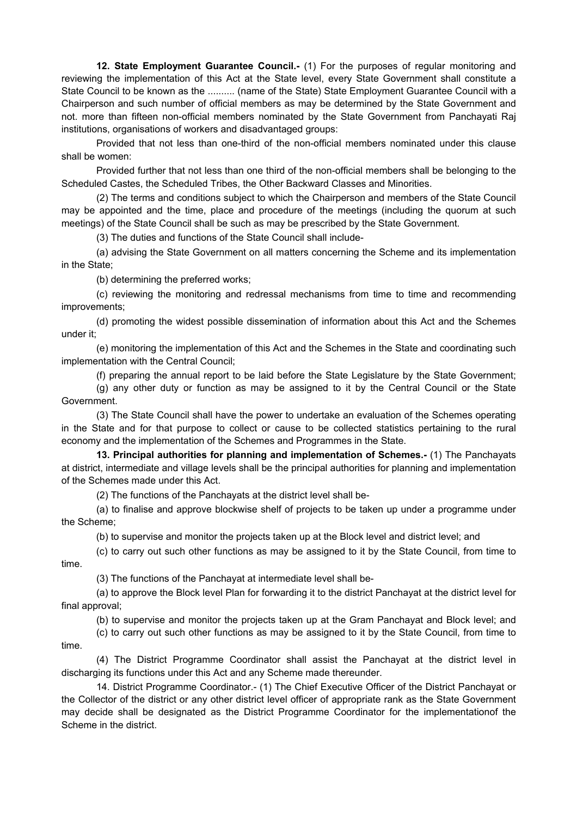**12. State Employment Guarantee Council.-** (1) For the purposes of regular monitoring and reviewing the implementation of this Act at the State level, every State Government shall constitute a State Council to be known as the .......... (name of the State) State Employment Guarantee Council with a Chairperson and such number of official members as may be determined by the State Government and not. more than fifteen non-official members nominated by the State Government from Panchayati Raj institutions, organisations of workers and disadvantaged groups:

Provided that not less than one-third of the non-official members nominated under this clause shall be women:

Provided further that not less than one third of the non-official members shall be belonging to the Scheduled Castes, the Scheduled Tribes, the Other Backward Classes and Minorities.

(2) The terms and conditions subject to which the Chairperson and members of the State Council may be appointed and the time, place and procedure of the meetings (including the quorum at such meetings) of the State Council shall be such as may be prescribed by the State Government.

(3) The duties and functions of the State Council shall include-

(a) advising the State Government on all matters concerning the Scheme and its implementation in the State;

(b) determining the preferred works;

(c) reviewing the monitoring and redressal mechanisms from time to time and recommending improvements;

(d) promoting the widest possible dissemination of information about this Act and the Schemes under it;

(e) monitoring the implementation of this Act and the Schemes in the State and coordinating such implementation with the Central Council;

(f) preparing the annual report to be laid before the State Legislature by the State Government;

(g) any other duty or function as may be assigned to it by the Central Council or the State Government.

(3) The State Council shall have the power to undertake an evaluation of the Schemes operating in the State and for that purpose to collect or cause to be collected statistics pertaining to the rural economy and the implementation of the Schemes and Programmes in the State.

**13. Principal authorities for planning and implementation of Schemes.-** (1) The Panchayats at district, intermediate and village levels shall be the principal authorities for planning and implementation of the Schemes made under this Act.

(2) The functions of the Panchayats at the district level shall be-

(a) to finalise and approve blockwise shelf of projects to be taken up under a programme under the Scheme;

(b) to supervise and monitor the projects taken up at the Block level and district level; and

(c) to carry out such other functions as may be assigned to it by the State Council, from time to time.

(3) The functions of the Panchayat at intermediate level shall be-

(a) to approve the Block level Plan for forwarding it to the district Panchayat at the district level for final approval;

(b) to supervise and monitor the projects taken up at the Gram Panchayat and Block level; and

(c) to carry out such other functions as may be assigned to it by the State Council, from time to time.

(4) The District Programme Coordinator shall assist the Panchayat at the district level in discharging its functions under this Act and any Scheme made thereunder.

14. District Programme Coordinator.- (1) The Chief Executive Officer of the District Panchayat or the Collector of the district or any other district level officer of appropriate rank as the State Government may decide shall be designated as the District Programme Coordinator for the implementationof the Scheme in the district.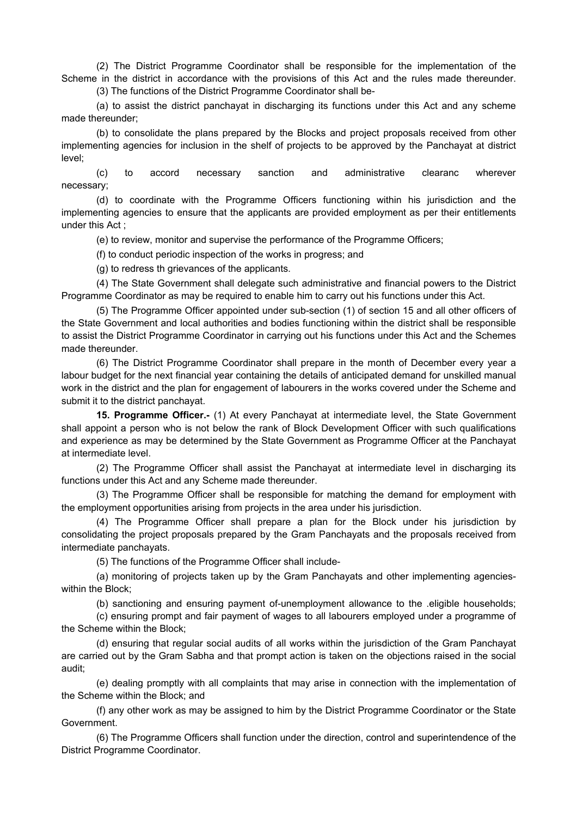(2) The District Programme Coordinator shall be responsible for the implementation of the Scheme in the district in accordance with the provisions of this Act and the rules made thereunder.

(3) The functions of the District Programme Coordinator shall be-

(a) to assist the district panchayat in discharging its functions under this Act and any scheme made thereunder;

(b) to consolidate the plans prepared by the Blocks and project proposals received from other implementing agencies for inclusion in the shelf of projects to be approved by the Panchayat at district level;

(c) to accord necessary sanction and administrative clearanc wherever necessary;

(d) to coordinate with the Programme Officers functioning within his jurisdiction and the implementing agencies to ensure that the applicants are provided employment as per their entitlements under this Act ;

(e) to review, monitor and supervise the performance of the Programme Officers;

(f) to conduct periodic inspection of the works in progress; and

(g) to redress th grievances of the applicants.

(4) The State Government shall delegate such administrative and financial powers to the District Programme Coordinator as may be required to enable him to carry out his functions under this Act.

(5) The Programme Officer appointed under sub-section (1) of section 15 and all other officers of the State Government and local authorities and bodies functioning within the district shall be responsible to assist the District Programme Coordinator in carrying out his functions under this Act and the Schemes made thereunder.

(6) The District Programme Coordinator shall prepare in the month of December every year a labour budget for the next financial year containing the details of anticipated demand for unskilled manual work in the district and the plan for engagement of labourers in the works covered under the Scheme and submit it to the district panchayat.

**15. Programme Officer.-** (1) At every Panchayat at intermediate level, the State Government shall appoint a person who is not below the rank of Block Development Officer with such qualifications and experience as may be determined by the State Government as Programme Officer at the Panchayat at intermediate level.

(2) The Programme Officer shall assist the Panchayat at intermediate level in discharging its functions under this Act and any Scheme made thereunder.

(3) The Programme Officer shall be responsible for matching the demand for employment with the employment opportunities arising from projects in the area under his jurisdiction.

(4) The Programme Officer shall prepare a plan for the Block under his jurisdiction by consolidating the project proposals prepared by the Gram Panchayats and the proposals received from intermediate panchayats.

(5) The functions of the Programme Officer shall include-

(a) monitoring of projects taken up by the Gram Panchayats and other implementing agencieswithin the Block;

(b) sanctioning and ensuring payment of-unemployment allowance to the .eligible households;

(c) ensuring prompt and fair payment of wages to all labourers employed under a programme of the Scheme within the Block;

(d) ensuring that regular social audits of all works within the jurisdiction of the Gram Panchayat are carried out by the Gram Sabha and that prompt action is taken on the objections raised in the social audit;

(e) dealing promptly with all complaints that may arise in connection with the implementation of the Scheme within the Block; and

(f) any other work as may be assigned to him by the District Programme Coordinator or the State Government.

(6) The Programme Officers shall function under the direction, control and superintendence of the District Programme Coordinator.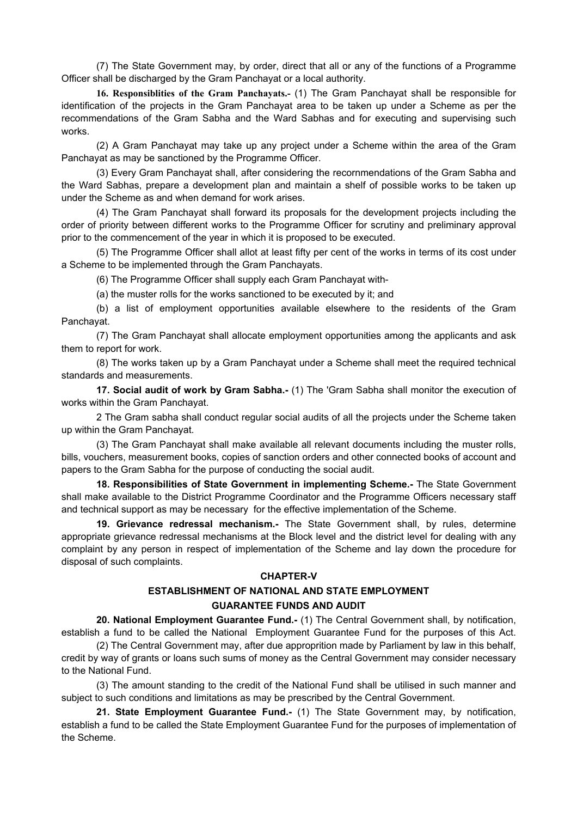(7) The State Government may, by order, direct that all or any of the functions of a Programme Officer shall be discharged by the Gram Panchayat or a local authority.

**16. Responsiblities of the Gram Panchayats.-** (1) The Gram Panchayat shall be responsible for identification of the projects in the Gram Panchayat area to be taken up under a Scheme as per the recommendations of the Gram Sabha and the Ward Sabhas and for executing and supervising such works.

(2) A Gram Panchayat may take up any project under a Scheme within the area of the Gram Panchayat as may be sanctioned by the Programme Officer.

(3) Every Gram Panchayat shall, after considering the recornmendations of the Gram Sabha and the Ward Sabhas, prepare a development plan and maintain a shelf of possible works to be taken up under the Scheme as and when demand for work arises.

(4) The Gram Panchayat shall forward its proposals for the development projects including the order of priority between different works to the Programme Officer for scrutiny and preliminary approval prior to the commencement of the year in which it is proposed to be executed.

(5) The Programme Officer shall allot at least fifty per cent of the works in terms of its cost under a Scheme to be implemented through the Gram Panchayats.

(6) The Programme Officer shall supply each Gram Panchayat with-

(a) the muster rolls for the works sanctioned to be executed by it; and

(b) a list of employment opportunities available elsewhere to the residents of the Gram Panchayat.

(7) The Gram Panchayat shall allocate employment opportunities among the applicants and ask them to report for work.

(8) The works taken up by a Gram Panchayat under a Scheme shall meet the required technical standards and measurements.

**17. Social audit of work by Gram Sabha.-** (1) The 'Gram Sabha shall monitor the execution of works within the Gram Panchayat.

2 The Gram sabha shall conduct regular social audits of all the projects under the Scheme taken up within the Gram Panchayat.

(3) The Gram Panchayat shall make available all relevant documents including the muster rolls, bills, vouchers, measurement books, copies of sanction orders and other connected books of account and papers to the Gram Sabha for the purpose of conducting the social audit.

**18. Responsibilities of State Government in implementing Scheme.-** The State Government shall make available to the District Programme Coordinator and the Programme Officers necessary staff and technical support as may be necessary for the effective implementation of the Scheme.

**19. Grievance redressal mechanism.-** The State Government shall, by rules, determine appropriate grievance redressal mechanisms at the Block level and the district level for dealing with any complaint by any person in respect of implementation of the Scheme and lay down the procedure for disposal of such complaints.

#### **CHAPTER-V**

# **ESTABLISHMENT OF NATIONAL AND STATE EMPLOYMENT GUARANTEE FUNDS AND AUDIT**

**20. National Employment Guarantee Fund.-** (1) The Central Government shall, by notification, establish a fund to be called the National Employment Guarantee Fund for the purposes of this Act.

(2) The Central Government may, after due approprition made by Parliament by law in this behalf, credit by way of grants or loans such sums of money as the Central Government may consider necessary to the National Fund.

(3) The amount standing to the credit of the National Fund shall be utilised in such manner and subject to such conditions and limitations as may be prescribed by the Central Government.

**21. State Employment Guarantee Fund.-** (1) The State Government may, by notification, establish a fund to be called the State Employment Guarantee Fund for the purposes of implementation of the Scheme.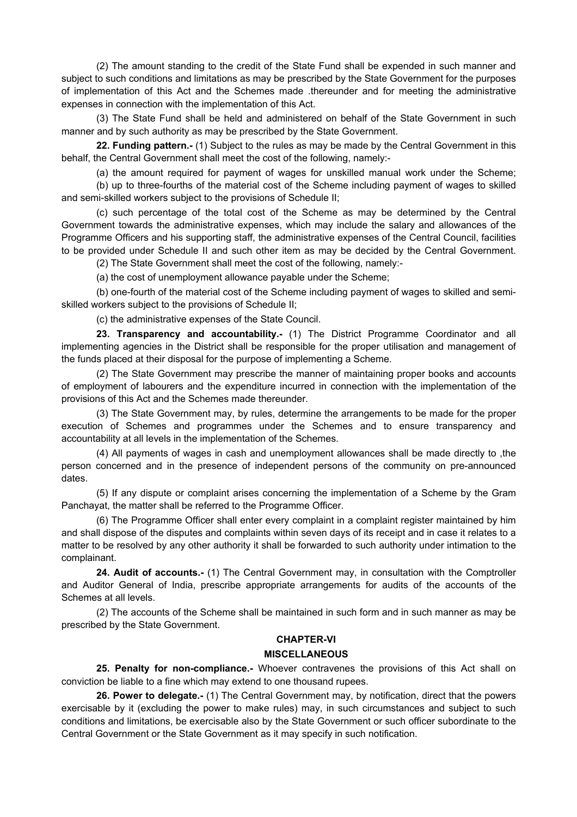(2) The amount standing to the credit of the State Fund shall be expended in such manner and subject to such conditions and limitations as may be prescribed by the State Government for the purposes of implementation of this Act and the Schemes made .thereunder and for meeting the administrative expenses in connection with the implementation of this Act.

(3) The State Fund shall be held and administered on behalf of the State Government in such manner and by such authority as may be prescribed by the State Government.

**22. Funding pattern.-** (1) Subject to the rules as may be made by the Central Government in this behalf, the Central Government shall meet the cost of the following, namely:-

(a) the amount required for payment of wages for unskilled manual work under the Scheme; (b) up to three-fourths of the material cost of the Scheme including payment of wages to skilled

and semi-skilled workers subject to the provisions of Schedule II;

(c) such percentage of the total cost of the Scheme as may be determined by the Central Government towards the administrative expenses, which may include the salary and allowances of the Programme Officers and his supporting staff, the administrative expenses of the Central Council, facilities to be provided under Schedule II and such other item as may be decided by the Central Government.

(2) The State Government shall meet the cost of the following, namely:-

(a) the cost of unemployment allowance payable under the Scheme;

(b) one-fourth of the material cost of the Scheme including payment of wages to skilled and semiskilled workers subject to the provisions of Schedule II;

(c) the administrative expenses of the State Council.

**23. Transparency and accountability.-** (1) The District Programme Coordinator and all implementing agencies in the District shall be responsible for the proper utilisation and management of the funds placed at their disposal for the purpose of implementing a Scheme.

(2) The State Government may prescribe the manner of maintaining proper books and accounts of employment of labourers and the expenditure incurred in connection with the implementation of the provisions of this Act and the Schemes made thereunder.

(3) The State Government may, by rules, determine the arrangements to be made for the proper execution of Schemes and programmes under the Schemes and to ensure transparency and accountability at all levels in the implementation of the Schemes.

(4) All payments of wages in cash and unemployment allowances shall be made directly to ,the person concerned and in the presence of independent persons of the community on pre-announced dates.

(5) If any dispute or complaint arises concerning the implementation of a Scheme by the Gram Panchayat, the matter shall be referred to the Programme Officer.

(6) The Programme Officer shall enter every complaint in a complaint register maintained by him and shall dispose of the disputes and complaints within seven days of its receipt and in case it relates to a matter to be resolved by any other authority it shall be forwarded to such authority under intimation to the complainant.

**24. Audit of accounts.-** (1) The Central Government may, in consultation with the Comptroller and Auditor General of India, prescribe appropriate arrangements for audits of the accounts of the Schemes at all levels.

(2) The accounts of the Scheme shall be maintained in such form and in such manner as may be prescribed by the State Government.

# **CHAPTER-VI**

# **MISCELLANEOUS**

**25. Penalty for non-compliance.-** Whoever contravenes the provisions of this Act shall on conviction be liable to a fine which may extend to one thousand rupees.

**26. Power to delegate.-** (1) The Central Government may, by notification, direct that the powers exercisable by it (excluding the power to make rules) may, in such circumstances and subject to such conditions and limitations, be exercisable also by the State Government or such officer subordinate to the Central Government or the State Government as it may specify in such notification.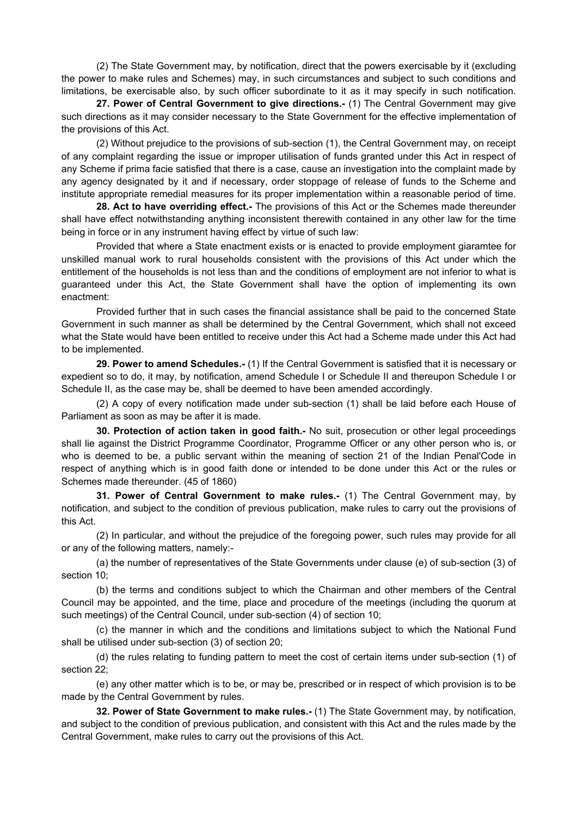(2) The State Government may, by notification, direct that the powers exercisable by it (excluding the power to make rules and Schemes) may, in such circumstances and subject to such conditions and limitations, be exercisable also, by such officer subordinate to it as it may specify in such notification.

**27. Power of Central Government to give directions.-** (1) The Central Government may give such directions as it may consider necessary to the State Government for the effective implementation of the provisions of this Act.

(2) Without prejudice to the provisions of sub-section (1), the Central Government may, on receipt of any complaint regarding the issue or improper utilisation of funds granted under this Act in respect of any Scheme if prima facie satisfied that there is a case, cause an investigation into the complaint made by any agency designated by it and if necessary, order stoppage of release of funds to the Scheme and institute appropriate remedial measures for its proper implementation within a reasonable period of time.

**28. Act to have overriding effect.-** The provisions of this Act or the Schemes made thereunder shall have effect notwithstanding anything inconsistent therewith contained in any other law for the time being in force or in any instrument having effect by virtue of such law:

Provided that where a State enactment exists or is enacted to provide employment giaramtee for unskilled manual work to rural households consistent with the provisions of this Act under which the entitlement of the households is not less than and the conditions of employment are not inferior to what is guaranteed under this Act, the State Government shall have the option of implementing its own enactment:

Provided further that in such cases the financial assistance shall be paid to the concerned State Government in such manner as shall be determined by the Central Government, which shall not exceed what the State would have been entitled to receive under this Act had a Scheme made under this Act had to be implemented.

**29. Power to amend Schedules.-** (1) If the Central Government is satisfied that it is necessary or expedient so to do, it may, by notification, amend Schedule I or Schedule II and thereupon Schedule I or Schedule II, as the case may be, shall be deemed to have been amended accordingly.

(2) A copy of every notification made under sub-section (1) shall be laid before each House of Parliament as soon as may be after it is made.

**30. Protection of action taken in good faith.-** No suit, prosecution or other legal proceedings shall lie against the District Programme Coordinator, Programme Officer or any other person who is, or who is deemed to be, a public servant within the meaning of section 21 of the Indian Penal'Code in respect of anything which is in good faith done or intended to be done under this Act or the rules or Schemes made thereunder. (45 of 1860)

**31. Power of Central Government to make rules.-** (1) The Central Government may, by notification, and subject to the condition of previous publication, make rules to carry out the provisions of this Act.

(2) In particular, and without the prejudice of the foregoing power, such rules may provide for all or any of the following matters, namely:-

(a) the number of representatives of the State Governments under clause (e) of sub-section (3) of section 10;

(b) the terms and conditions subject to which the Chairman and other members of the Central Council may be appointed, and the time, place and procedure of the meetings (including the quorum at such meetings) of the Central Council, under sub-section (4) of section 10;

(c) the manner in which and the conditions and limitations subject to which the National Fund shall be utilised under sub-section (3) of section 20;

(d) the rules relating to funding pattern to meet the cost of certain items under sub-section (1) of section 22;

(e) any other matter which is to be, or may be, prescribed or in respect of which provision is to be made by the Central Government by rules.

**32. Power of State Government to make rules.-** (1) The State Government may, by notification, and subject to the condition of previous publication, and consistent with this Act and the rules made by the Central Government, make rules to carry out the provisions of this Act.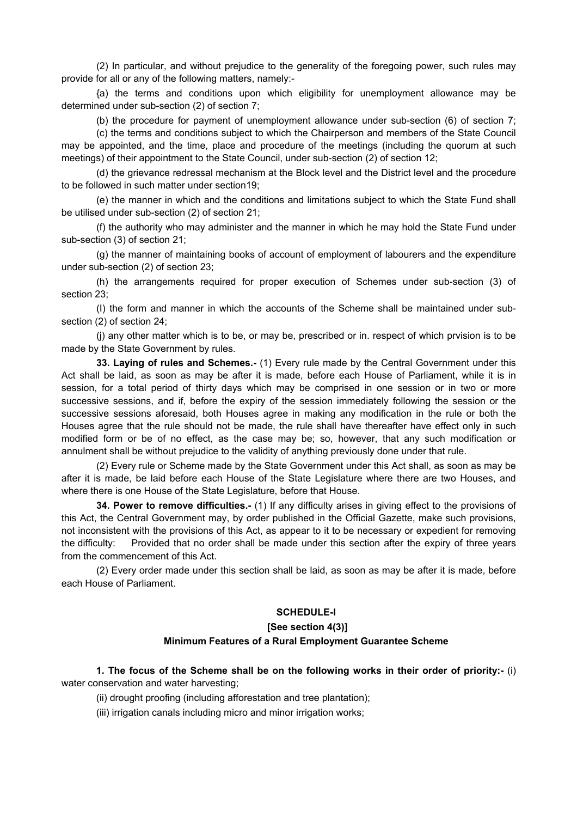(2) In particular, and without prejudice to the generality of the foregoing power, such rules may provide for all or any of the following matters, namely:-

{a) the terms and conditions upon which eligibility for unemployment allowance may be determined under sub-section (2) of section 7;

(b) the procedure for payment of unemployment allowance under sub-section (6) of section 7;

(c) the terms and conditions subject to which the Chairperson and members of the State Council may be appointed, and the time, place and procedure of the meetings (including the quorum at such meetings) of their appointment to the State Council, under sub-section (2) of section 12;

(d) the grievance redressal mechanism at the Block level and the District level and the procedure to be followed in such matter under section19;

(e) the manner in which and the conditions and limitations subject to which the State Fund shall be utilised under sub-section (2) of section 21;

(f) the authority who may administer and the manner in which he may hold the State Fund under sub-section (3) of section 21;

(g) the manner of maintaining books of account of employment of labourers and the expenditure under sub-section (2) of section 23;

(h) the arrangements required for proper execution of Schemes under sub-section (3) of section 23;

(I) the form and manner in which the accounts of the Scheme shall be maintained under subsection (2) of section 24;

(j) any other matter which is to be, or may be, prescribed or in. respect of which prvision is to be made by the State Government by rules.

**33. Laying of rules and Schemes.-** (1) Every rule made by the Central Government under this Act shall be laid, as soon as may be after it is made, before each House of Parliament, while it is in session, for a total period of thirty days which may be comprised in one session or in two or more successive sessions, and if, before the expiry of the session immediately following the session or the successive sessions aforesaid, both Houses agree in making any modification in the rule or both the Houses agree that the rule should not be made, the rule shall have thereafter have effect only in such modified form or be of no effect, as the case may be; so, however, that any such modification or annulment shall be without prejudice to the validity of anything previously done under that rule.

(2) Every rule or Scheme made by the State Government under this Act shall, as soon as may be after it is made, be laid before each House of the State Legislature where there are two Houses, and where there is one House of the State Legislature, before that House.

**34. Power to remove difficulties.-** (1) If any difficulty arises in giving effect to the provisions of this Act, the Central Government may, by order published in the Official Gazette, make such provisions, not inconsistent with the provisions of this Act, as appear to it to be necessary or expedient for removing the difficulty: Provided that no order shall be made under this section after the expiry of three years from the commencement of this Act.

(2) Every order made under this section shall be laid, as soon as may be after it is made, before each House of Parliament.

#### **SCHEDULE-I**

#### **[See section 4(3)]**

# **Minimum Features of a Rural Employment Guarantee Scheme**

**1. The focus of the Scheme shall be on the following works in their order of priority:-** (i) water conservation and water harvesting;

(ii) drought proofing (including afforestation and tree plantation);

(iii) irrigation canals including micro and minor irrigation works;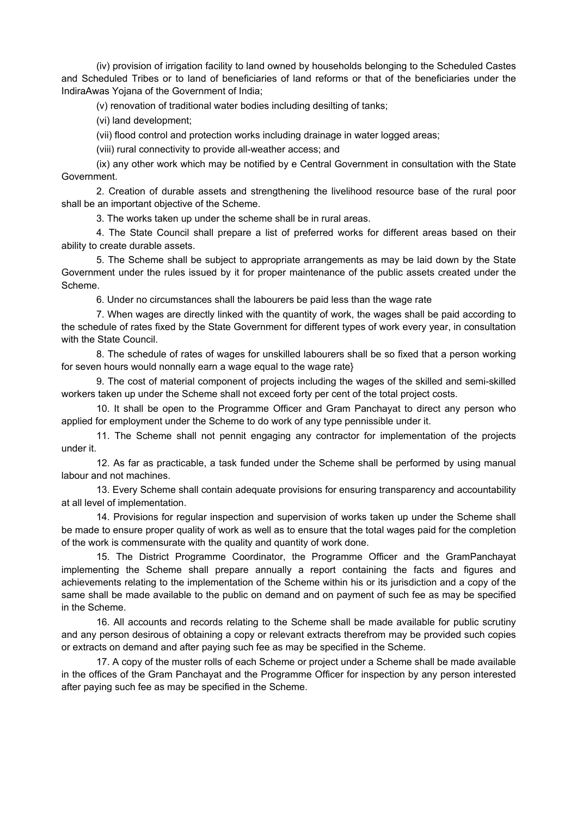(iv) provision of irrigation facility to land owned by households belonging to the Scheduled Castes and Scheduled Tribes or to land of beneficiaries of land reforms or that of the beneficiaries under the IndiraAwas Yojana of the Government of India;

(v) renovation of traditional water bodies including desilting of tanks;

(vi) land development;

(vii) flood control and protection works including drainage in water logged areas;

(viii) rural connectivity to provide all-weather access; and

(ix) any other work which may be notified by e Central Government in consultation with the State Government.

2. Creation of durable assets and strengthening the livelihood resource base of the rural poor shall be an important objective of the Scheme.

3. The works taken up under the scheme shall be in rural areas.

4. The State Council shall prepare a list of preferred works for different areas based on their ability to create durable assets.

5. The Scheme shall be subject to appropriate arrangements as may be laid down by the State Government under the rules issued by it for proper maintenance of the public assets created under the Scheme.

6. Under no circumstances shall the labourers be paid less than the wage rate

7. When wages are directly linked with the quantity of work, the wages shall be paid according to the schedule of rates fixed by the State Government for different types of work every year, in consultation with the State Council.

8. The schedule of rates of wages for unskilled labourers shall be so fixed that a person working for seven hours would nonnally earn a wage equal to the wage rate}

9. The cost of material component of projects including the wages of the skilled and semi-skilled workers taken up under the Scheme shall not exceed forty per cent of the total project costs.

10. It shall be open to the Programme Officer and Gram Panchayat to direct any person who applied for employment under the Scheme to do work of any type pennissible under it.

11. The Scheme shall not pennit engaging any contractor for implementation of the projects under it.

12. As far as practicable, a task funded under the Scheme shall be performed by using manual labour and not machines.

13. Every Scheme shall contain adequate provisions for ensuring transparency and accountability at all level of implementation.

14. Provisions for regular inspection and supervision of works taken up under the Scheme shall be made to ensure proper quality of work as well as to ensure that the total wages paid for the completion of the work is commensurate with the quality and quantity of work done.

15. The District Programme Coordinator, the Programme Officer and the GramPanchayat implementing the Scheme shall prepare annually a report containing the facts and figures and achievements relating to the implementation of the Scheme within his or its jurisdiction and a copy of the same shall be made available to the public on demand and on payment of such fee as may be specified in the Scheme.

16. All accounts and records relating to the Scheme shall be made available for public scrutiny and any person desirous of obtaining a copy or relevant extracts therefrom may be provided such copies or extracts on demand and after paying such fee as may be specified in the Scheme.

17. A copy of the muster rolls of each Scheme or project under a Scheme shall be made available in the offices of the Gram Panchayat and the Programme Officer for inspection by any person interested after paying such fee as may be specified in the Scheme.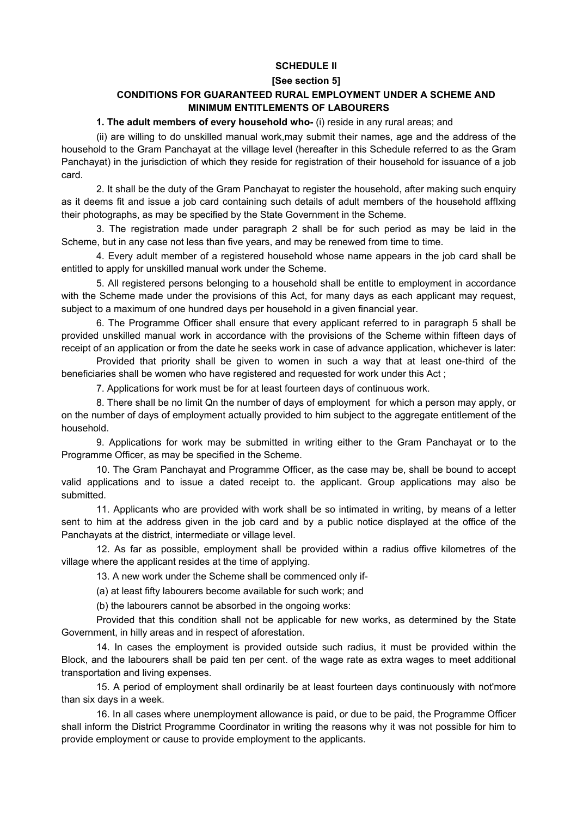## **SCHEDULE II**

#### **[See section 5]**

# **CONDITIONS FOR GUARANTEED RURAL EMPLOYMENT UNDER A SCHEME AND MINIMUM ENTITLEMENTS OF LABOURERS**

## **1. The adult members of every household who-** (i) reside in any rural areas; and

(ii) are willing to do unskilled manual work,may submit their names, age and the address of the household to the Gram Panchayat at the village level (hereafter in this Schedule referred to as the Gram Panchayat) in the jurisdiction of which they reside for registration of their household for issuance of a job card.

2. It shall be the duty of the Gram Panchayat to register the household, after making such enquiry as it deems fit and issue a job card containing such details of adult members of the household affIxing their photographs, as may be specified by the State Government in the Scheme.

3. The registration made under paragraph 2 shall be for such period as may be laid in the Scheme, but in any case not less than five years, and may be renewed from time to time.

4. Every adult member of a registered household whose name appears in the job card shall be entitled to apply for unskilled manual work under the Scheme.

5. All registered persons belonging to a household shall be entitle to employment in accordance with the Scheme made under the provisions of this Act, for many days as each applicant may request, subject to a maximum of one hundred days per household in a given financial year.

6. The Programme Officer shall ensure that every applicant referred to in paragraph 5 shall be provided unskilled manual work in accordance with the provisions of the Scheme within fifteen days of receipt of an application or from the date he seeks work in case of advance application, whichever is later:

Provided that priority shall be given to women in such a way that at least one-third of the beneficiaries shall be women who have registered and requested for work under this Act ;

7. Applications for work must be for at least fourteen days of continuous work.

8. There shall be no limit Qn the number of days of employment for which a person may apply, or on the number of days of employment actually provided to him subject to the aggregate entitlement of the household.

9. Applications for work may be submitted in writing either to the Gram Panchayat or to the Programme Officer, as may be specified in the Scheme.

10. The Gram Panchayat and Programme Officer, as the case may be, shall be bound to accept valid applications and to issue a dated receipt to. the applicant. Group applications may also be submitted.

11. Applicants who are provided with work shall be so intimated in writing, by means of a letter sent to him at the address given in the job card and by a public notice displayed at the office of the Panchayats at the district, intermediate or village level.

12. As far as possible, employment shall be provided within a radius offive kilometres of the village where the applicant resides at the time of applying.

13. A new work under the Scheme shall be commenced only if-

(a) at least fifty labourers become available for such work; and

(b) the labourers cannot be absorbed in the ongoing works:

Provided that this condition shall not be applicable for new works, as determined by the State Government, in hilly areas and in respect of aforestation.

14. In cases the employment is provided outside such radius, it must be provided within the Block, and the labourers shall be paid ten per cent. of the wage rate as extra wages to meet additional transportation and living expenses.

15. A period of employment shall ordinarily be at least fourteen days continuously with not'more than six days in a week.

16. In all cases where unemployment allowance is paid, or due to be paid, the Programme Officer shall inform the District Programme Coordinator in writing the reasons why it was not possible for him to provide employment or cause to provide employment to the applicants.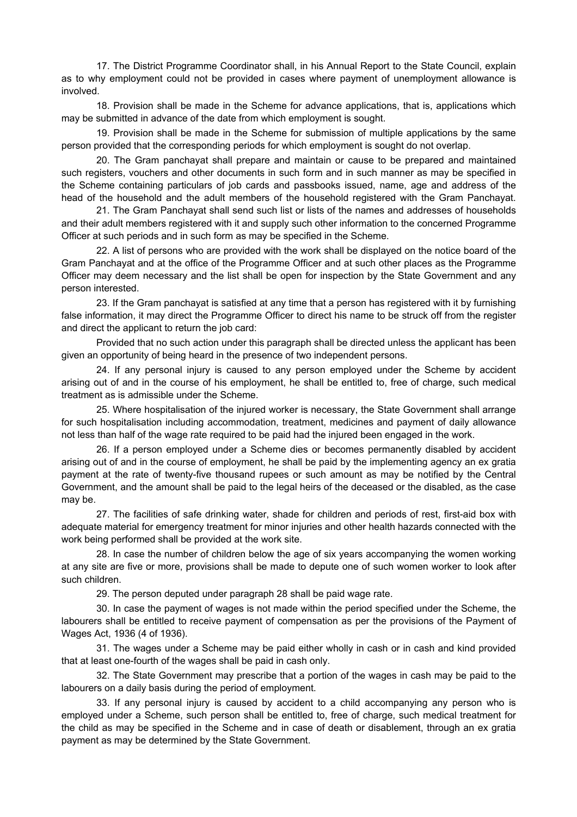17. The District Programme Coordinator shall, in his Annual Report to the State Council, explain as to why employment could not be provided in cases where payment of unemployment allowance is involved.

18. Provision shall be made in the Scheme for advance applications, that is, applications which may be submitted in advance of the date from which employment is sought.

19. Provision shall be made in the Scheme for submission of multiple applications by the same person provided that the corresponding periods for which employment is sought do not overlap.

20. The Gram panchayat shall prepare and maintain or cause to be prepared and maintained such registers, vouchers and other documents in such form and in such manner as may be specified in the Scheme containing particulars of job cards and passbooks issued, name, age and address of the head of the household and the adult members of the household registered with the Gram Panchayat.

21. The Gram Panchayat shall send such list or lists of the names and addresses of households and their adult members registered with it and supply such other information to the concerned Programme Officer at such periods and in such form as may be specified in the Scheme.

22. A list of persons who are provided with the work shall be displayed on the notice board of the Gram Panchayat and at the office of the Programme Officer and at such other places as the Programme Officer may deem necessary and the list shall be open for inspection by the State Government and any person interested.

23. If the Gram panchayat is satisfied at any time that a person has registered with it by furnishing false information, it may direct the Programme Officer to direct his name to be struck off from the register and direct the applicant to return the job card:

Provided that no such action under this paragraph shall be directed unless the applicant has been given an opportunity of being heard in the presence of two independent persons.

24. If any personal injury is caused to any person employed under the Scheme by accident arising out of and in the course of his employment, he shall be entitled to, free of charge, such medical treatment as is admissible under the Scheme.

25. Where hospitalisation of the injured worker is necessary, the State Government shall arrange for such hospitalisation including accommodation, treatment, medicines and payment of daily allowance not less than half of the wage rate required to be paid had the injured been engaged in the work.

26. If a person employed under a Scheme dies or becomes permanently disabled by accident arising out of and in the course of employment, he shall be paid by the implementing agency an ex gratia payment at the rate of twenty-five thousand rupees or such amount as may be notified by the Central Government, and the amount shall be paid to the legal heirs of the deceased or the disabled, as the case may be.

27. The facilities of safe drinking water, shade for children and periods of rest, first-aid box with adequate material for emergency treatment for minor injuries and other health hazards connected with the work being performed shall be provided at the work site.

28. In case the number of children below the age of six years accompanying the women working at any site are five or more, provisions shall be made to depute one of such women worker to look after such children.

29. The person deputed under paragraph 28 shall be paid wage rate.

30. In case the payment of wages is not made within the period specified under the Scheme, the labourers shall be entitled to receive payment of compensation as per the provisions of the Payment of Wages Act, 1936 (4 of 1936).

31. The wages under a Scheme may be paid either wholly in cash or in cash and kind provided that at least one-fourth of the wages shall be paid in cash only.

32. The State Government may prescribe that a portion of the wages in cash may be paid to the labourers on a daily basis during the period of employment.

33. If any personal injury is caused by accident to a child accompanying any person who is employed under a Scheme, such person shall be entitled to, free of charge, such medical treatment for the child as may be specified in the Scheme and in case of death or disablement, through an ex gratia payment as may be determined by the State Government.